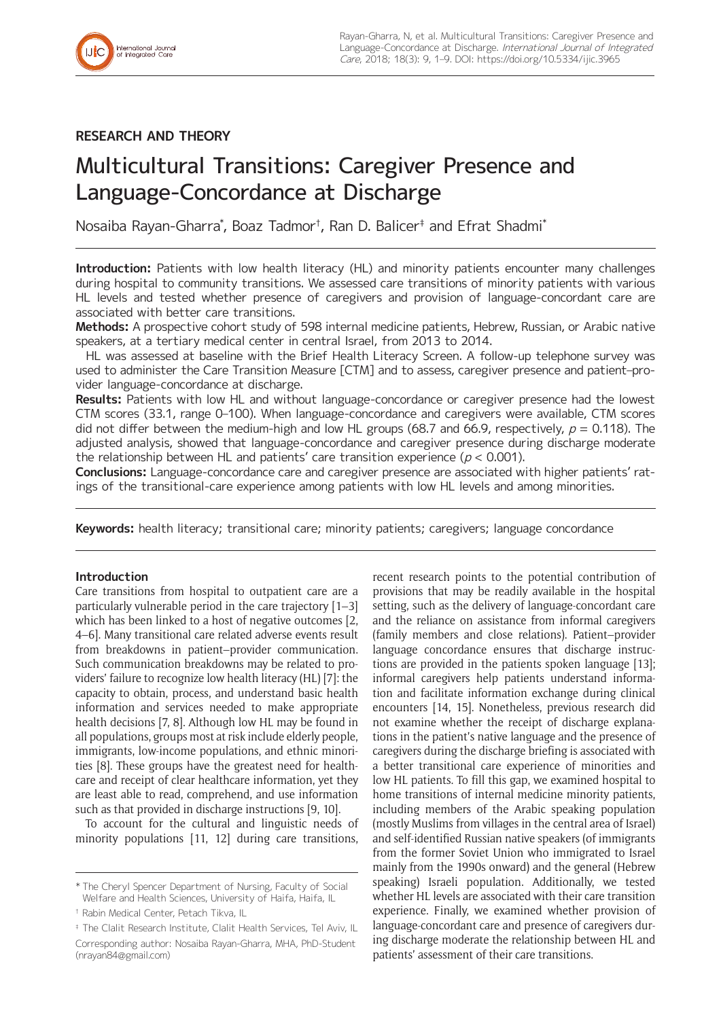# **RESEARCH AND THEORY**

# Multicultural Transitions: Caregiver Presence and Language-Concordance at Discharge

Nosaiba Rayan-Gharra\* , Boaz Tadmor† , Ran D. Balicer‡ and Efrat Shadmi\*

**Introduction:** Patients with low health literacy (HL) and minority patients encounter many challenges during hospital to community transitions. We assessed care transitions of minority patients with various HL levels and tested whether presence of caregivers and provision of language-concordant care are associated with better care transitions.

**Methods:** A prospective cohort study of 598 internal medicine patients, Hebrew, Russian, or Arabic native speakers, at a tertiary medical center in central Israel, from 2013 to 2014.

HL was assessed at baseline with the Brief Health Literacy Screen. A follow-up telephone survey was used to administer the Care Transition Measure [CTM] and to assess, caregiver presence and patient–provider language-concordance at discharge.

**Results:** Patients with low HL and without language-concordance or caregiver presence had the lowest CTM scores (33.1, range 0–100). When language-concordance and caregivers were available, CTM scores did not differ between the medium-high and low HL groups (68.7 and 66.9, respectively,  $p = 0.118$ ). The adjusted analysis, showed that language-concordance and caregiver presence during discharge moderate the relationship between HL and patients' care transition experience ( $p < 0.001$ ).

**Conclusions:** Language-concordance care and caregiver presence are associated with higher patients' ratings of the transitional-care experience among patients with low HL levels and among minorities.

**Keywords:** health literacy; transitional care; minority patients; caregivers; language concordance

# **Introduction**

Care transitions from hospital to outpatient care are a particularly vulnerable period in the care trajectory [1–3] which has been linked to a host of negative outcomes [2, 4–6]. Many transitional care related adverse events result from breakdowns in patient–provider communication. Such communication breakdowns may be related to providers' failure to recognize low health literacy (HL) [7]: the capacity to obtain, process, and understand basic health information and services needed to make appropriate health decisions [7, 8]. Although low HL may be found in all populations, groups most at risk include elderly people, immigrants, low-income populations, and ethnic minorities [8]. These groups have the greatest need for healthcare and receipt of clear healthcare information, yet they are least able to read, comprehend, and use information such as that provided in discharge instructions [9, 10].

To account for the cultural and linguistic needs of minority populations [11, 12] during care transitions, recent research points to the potential contribution of provisions that may be readily available in the hospital setting, such as the delivery of language-concordant care and the reliance on assistance from informal caregivers (family members and close relations). Patient–provider language concordance ensures that discharge instructions are provided in the patients spoken language [13]; informal caregivers help patients understand information and facilitate information exchange during clinical encounters [14, 15]. Nonetheless, previous research did not examine whether the receipt of discharge explanations in the patient's native language and the presence of caregivers during the discharge briefing is associated with a better transitional care experience of minorities and low HL patients. To fill this gap, we examined hospital to home transitions of internal medicine minority patients, including members of the Arabic speaking population (mostly Muslims from villages in the central area of Israel) and self-identified Russian native speakers (of immigrants from the former Soviet Union who immigrated to Israel mainly from the 1990s onward) and the general (Hebrew speaking) Israeli population. Additionally, we tested whether HL levels are associated with their care transition experience. Finally, we examined whether provision of language-concordant care and presence of caregivers during discharge moderate the relationship between HL and patients' assessment of their care transitions.

<sup>\*</sup> The Cheryl Spencer Department of Nursing, Faculty of Social Welfare and Health Sciences, University of Haifa, Haifa, IL

<sup>†</sup> Rabin Medical Center, Petach Tikva, IL

<sup>‡</sup> The Clalit Research Institute, Clalit Health Services, Tel Aviv, IL Corresponding author: Nosaiba Rayan-Gharra, MHA, PhD-Student [\(nrayan84@gmail.com\)](mailto:nrayan84@gmail.com)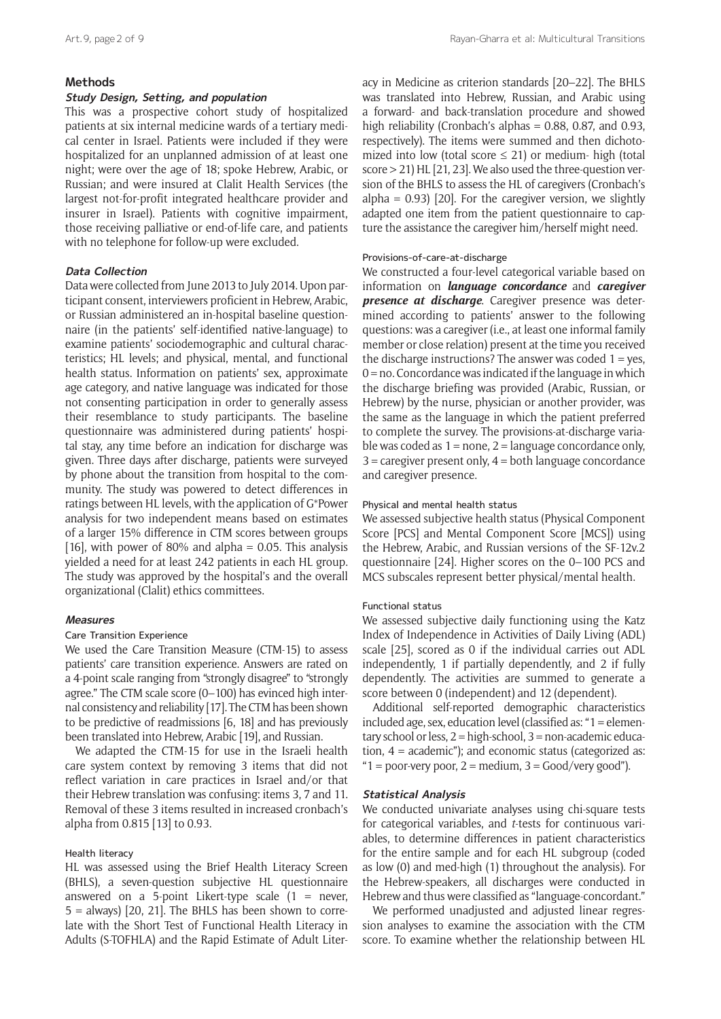# **Methods**

# **Study Design, Setting, and population**

This was a prospective cohort study of hospitalized patients at six internal medicine wards of a tertiary medical center in Israel. Patients were included if they were hospitalized for an unplanned admission of at least one night; were over the age of 18; spoke Hebrew, Arabic, or Russian; and were insured at Clalit Health Services (the largest not-for-profit integrated healthcare provider and insurer in Israel). Patients with cognitive impairment, those receiving palliative or end-of-life care, and patients with no telephone for follow-up were excluded.

# **Data Collection**

Data were collected from June 2013 to July 2014. Upon participant consent, interviewers proficient in Hebrew, Arabic, or Russian administered an in-hospital baseline questionnaire (in the patients' self-identified native-language) to examine patients' sociodemographic and cultural characteristics; HL levels; and physical, mental, and functional health status. Information on patients' sex, approximate age category, and native language was indicated for those not consenting participation in order to generally assess their resemblance to study participants. The baseline questionnaire was administered during patients' hospital stay, any time before an indication for discharge was given. Three days after discharge, patients were surveyed by phone about the transition from hospital to the community. The study was powered to detect differences in ratings between HL levels, with the application of G\*Power analysis for two independent means based on estimates of a larger 15% difference in CTM scores between groups [16], with power of 80% and alpha = 0.05. This analysis yielded a need for at least 242 patients in each HL group. The study was approved by the hospital's and the overall organizational (Clalit) ethics committees.

#### **Measures**

#### Care Transition Experience

We used the Care Transition Measure (CTM-15) to assess patients' care transition experience. Answers are rated on a 4-point scale ranging from "strongly disagree" to "strongly agree." The CTM scale score (0–100) has evinced high internal consistency and reliability [17]. The CTM has been shown to be predictive of readmissions [6, 18] and has previously been translated into Hebrew, Arabic [19], and Russian.

We adapted the CTM-15 for use in the Israeli health care system context by removing 3 items that did not reflect variation in care practices in Israel and/or that their Hebrew translation was confusing: items 3, 7 and 11. Removal of these 3 items resulted in increased cronbach's alpha from 0.815 [13] to 0.93.

# Health literacy

HL was assessed using the Brief Health Literacy Screen (BHLS), a seven-question subjective HL questionnaire answered on a 5-point Likert-type scale  $(1 =$  never.  $5 =$  always) [20, 21]. The BHLS has been shown to correlate with the Short Test of Functional Health Literacy in Adults (S-TOFHLA) and the Rapid Estimate of Adult Literacy in Medicine as criterion standards [20–22]. The BHLS was translated into Hebrew, Russian, and Arabic using a forward- and back-translation procedure and showed high reliability (Cronbach's alphas = 0.88, 0.87, and 0.93, respectively). The items were summed and then dichotomized into low (total score  $\leq$  21) or medium- high (total score > 21) HL [21, 23]. We also used the three-question version of the BHLS to assess the HL of caregivers (Cronbach's alpha =  $0.93$ ) [20]. For the caregiver version, we slightly adapted one item from the patient questionnaire to capture the assistance the caregiver him/herself might need.

## Provisions-of-care-at-discharge

We constructed a four-level categorical variable based on information on *language concordance* and *caregiver presence at discharge*. Caregiver presence was determined according to patients' answer to the following questions: was a caregiver (i.e., at least one informal family member or close relation) present at the time you received the discharge instructions? The answer was coded  $1 = yes$ ,  $0 =$  no. Concordance was indicated if the language in which the discharge briefing was provided (Arabic, Russian, or Hebrew) by the nurse, physician or another provider, was the same as the language in which the patient preferred to complete the survey. The provisions-at-discharge variable was coded as  $1 =$  none,  $2 =$  language concordance only, 3 = caregiver present only, 4 = both language concordance and caregiver presence.

#### Physical and mental health status

We assessed subjective health status (Physical Component Score [PCS] and Mental Component Score [MCS]) using the Hebrew, Arabic, and Russian versions of the SF-12v.2 questionnaire [24]. Higher scores on the 0–100 PCS and MCS subscales represent better physical/mental health.

#### Functional status

We assessed subjective daily functioning using the Katz Index of Independence in Activities of Daily Living (ADL) scale [25], scored as 0 if the individual carries out ADL independently, 1 if partially dependently, and 2 if fully dependently. The activities are summed to generate a score between 0 (independent) and 12 (dependent).

Additional self-reported demographic characteristics included age, sex, education level (classified as: "1 = elementary school or less,  $2 =$  high-school,  $3 =$  non-academic education, 4 = academic"); and economic status (categorized as: " $1 =$  poor-very poor,  $2 =$  medium,  $3 =$  Good/very good").

#### **Statistical Analysis**

We conducted univariate analyses using chi-square tests for categorical variables, and *t*-tests for continuous variables, to determine differences in patient characteristics for the entire sample and for each HL subgroup (coded as low (0) and med-high (1) throughout the analysis). For the Hebrew-speakers, all discharges were conducted in Hebrew and thus were classified as "language-concordant."

We performed unadjusted and adjusted linear regression analyses to examine the association with the CTM score. To examine whether the relationship between HL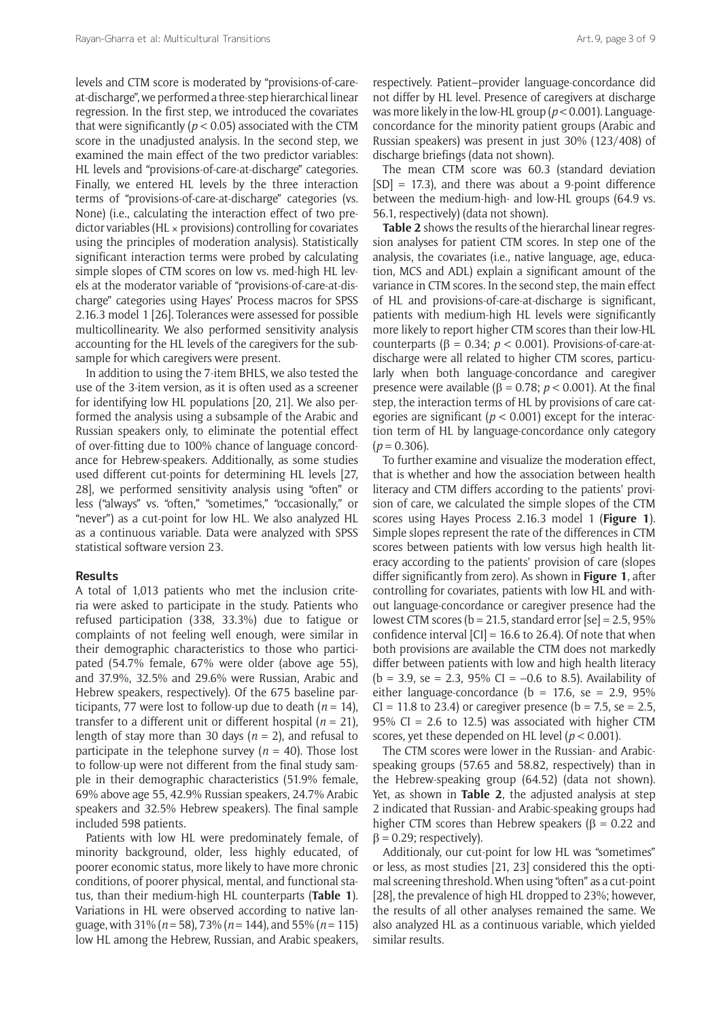levels and CTM score is moderated by "provisions-of-careat-discharge", we performed a three-step hierarchical linear regression. In the first step, we introduced the covariates that were significantly ( $p < 0.05$ ) associated with the CTM score in the unadjusted analysis. In the second step, we examined the main effect of the two predictor variables: HL levels and "provisions-of-care-at-discharge" categories. Finally, we entered HL levels by the three interaction terms of "provisions-of-care-at-discharge" categories (vs. None) (i.e., calculating the interaction effect of two predictor variables (HL  $\times$  provisions) controlling for covariates using the principles of moderation analysis). Statistically significant interaction terms were probed by calculating simple slopes of CTM scores on low vs. med-high HL levels at the moderator variable of "provisions-of-care-at-discharge" categories using Hayes' Process macros for SPSS 2.16.3 model 1 [26]. Tolerances were assessed for possible multicollinearity. We also performed sensitivity analysis accounting for the HL levels of the caregivers for the subsample for which caregivers were present.

In addition to using the 7-item BHLS, we also tested the use of the 3-item version, as it is often used as a screener for identifying low HL populations [20, 21]. We also performed the analysis using a subsample of the Arabic and Russian speakers only, to eliminate the potential effect of over-fitting due to 100% chance of language concordance for Hebrew-speakers. Additionally, as some studies used different cut-points for determining HL levels [27, 28], we performed sensitivity analysis using "often" or less ("always" vs. "often," "sometimes," "occasionally," or "never") as a cut-point for low HL. We also analyzed HL as a continuous variable. Data were analyzed with SPSS statistical software version 23.

#### **Results**

A total of 1,013 patients who met the inclusion criteria were asked to participate in the study. Patients who refused participation (338, 33.3%) due to fatigue or complaints of not feeling well enough, were similar in their demographic characteristics to those who participated (54.7% female, 67% were older (above age 55), and 37.9%, 32.5% and 29.6% were Russian, Arabic and Hebrew speakers, respectively). Of the 675 baseline participants, 77 were lost to follow-up due to death ( $n = 14$ ), transfer to a different unit or different hospital  $(n = 21)$ , length of stay more than 30 days (*n* = 2), and refusal to participate in the telephone survey  $(n = 40)$ . Those lost to follow-up were not different from the final study sample in their demographic characteristics (51.9% female, 69% above age 55, 42.9% Russian speakers, 24.7% Arabic speakers and 32.5% Hebrew speakers). The final sample included 598 patients.

Patients with low HL were predominately female, of minority background, older, less highly educated, of poorer economic status, more likely to have more chronic conditions, of poorer physical, mental, and functional status, than their medium-high HL counterparts (**Table 1**). Variations in HL were observed according to native language, with 31% (*n* = 58), 73% (*n* = 144), and 55% (*n* = 115) low HL among the Hebrew, Russian, and Arabic speakers,

respectively. Patient–provider language-concordance did not differ by HL level. Presence of caregivers at discharge was more likely in the low-HL group (*p* < 0.001). Languageconcordance for the minority patient groups (Arabic and Russian speakers) was present in just 30% (123/408) of discharge briefings (data not shown).

The mean CTM score was 60.3 (standard deviation  $[SD] = 17.3$ , and there was about a 9-point difference between the medium-high- and low-HL groups (64.9 vs. 56.1, respectively) (data not shown).

**Table 2** shows the results of the hierarchal linear regression analyses for patient CTM scores. In step one of the analysis, the covariates (i.e., native language, age, education, MCS and ADL) explain a significant amount of the variance in CTM scores. In the second step, the main effect of HL and provisions-of-care-at-discharge is significant, patients with medium-high HL levels were significantly more likely to report higher CTM scores than their low-HL counterparts (β = 0.34; *p* < 0.001). Provisions-of-care-atdischarge were all related to higher CTM scores, particularly when both language-concordance and caregiver presence were available ( $β = 0.78$ ;  $p < 0.001$ ). At the final step, the interaction terms of HL by provisions of care categories are significant ( $p < 0.001$ ) except for the interaction term of HL by language-concordance only category  $(p = 0.306)$ .

To further examine and visualize the moderation effect, that is whether and how the association between health literacy and CTM differs according to the patients' provision of care, we calculated the simple slopes of the CTM scores using Hayes Process 2.16.3 model 1 (**Figure 1**). Simple slopes represent the rate of the differences in CTM scores between patients with low versus high health literacy according to the patients' provision of care (slopes differ significantly from zero). As shown in **Figure 1**, after controlling for covariates, patients with low HL and without language-concordance or caregiver presence had the lowest CTM scores ( $b = 21.5$ , standard error [se] = 2.5, 95% confidence interval  $|CI| = 16.6$  to 26.4). Of note that when both provisions are available the CTM does not markedly differ between patients with low and high health literacy  $(b = 3.9, \text{ se} = 2.3, 95\% \text{ CI} = -0.6 \text{ to } 8.5)$ . Availability of either language-concordance ( $b = 17.6$ , se = 2.9, 95%  $CI = 11.8$  to 23.4) or caregiver presence ( $b = 7.5$ , se = 2.5, 95% CI = 2.6 to 12.5) was associated with higher CTM scores, yet these depended on HL level (*p* < 0.001).

The CTM scores were lower in the Russian- and Arabicspeaking groups (57.65 and 58.82, respectively) than in the Hebrew-speaking group (64.52) (data not shown). Yet, as shown in **Table 2**, the adjusted analysis at step 2 indicated that Russian- and Arabic-speaking groups had higher CTM scores than Hebrew speakers ( $\beta$  = 0.22 and  $β = 0.29$ ; respectively).

Additionaly, our cut-point for low HL was "sometimes" or less, as most studies [21, 23] considered this the optimal screening threshold. When using "often" as a cut-point [28], the prevalence of high HL dropped to 23%; however, the results of all other analyses remained the same. We also analyzed HL as a continuous variable, which yielded similar results.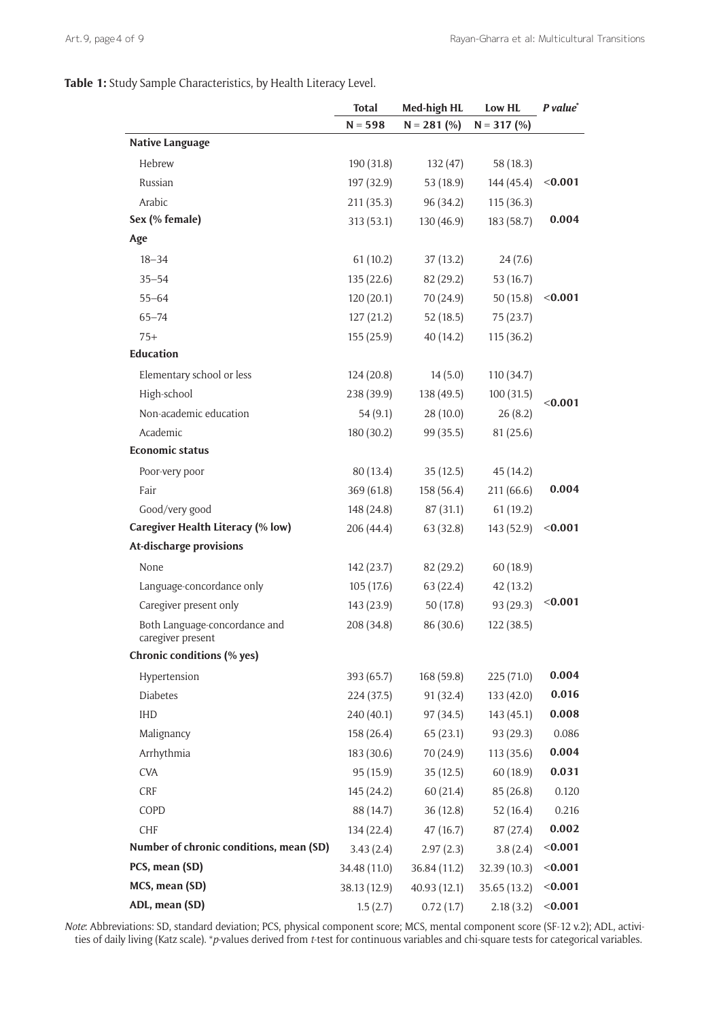**Table 1:** Study Sample Characteristics, by Health Literacy Level.

|                                                    | <b>Total</b> | Med-high HL   | Low HL        | P value* |
|----------------------------------------------------|--------------|---------------|---------------|----------|
|                                                    | $N = 598$    | $N = 281$ (%) | $N = 317$ (%) |          |
| <b>Native Language</b>                             |              |               |               |          |
| Hebrew                                             | 190 (31.8)   | 132(47)       | 58 (18.3)     |          |
| Russian                                            | 197 (32.9)   | 53 (18.9)     | 144 (45.4)    | < 0.001  |
| Arabic                                             | 211(35.3)    | 96 (34.2)     | 115(36.3)     |          |
| Sex (% female)                                     | 313(53.1)    | 130 (46.9)    | 183 (58.7)    | 0.004    |
| Age                                                |              |               |               |          |
| $18 - 34$                                          | 61(10.2)     | 37(13.2)      | 24(7.6)       |          |
| $35 - 54$                                          | 135(22.6)    | 82 (29.2)     | 53 (16.7)     |          |
| $55 - 64$                                          | 120(20.1)    | 70 (24.9)     | 50(15.8)      | < 0.001  |
| $65 - 74$                                          | 127(21.2)    | 52(18.5)      | 75 (23.7)     |          |
| $75+$                                              | 155(25.9)    | 40 (14.2)     | 115 (36.2)    |          |
| <b>Education</b>                                   |              |               |               |          |
| Elementary school or less                          | 124(20.8)    | 14(5.0)       | 110 (34.7)    |          |
| High-school                                        | 238 (39.9)   | 138 (49.5)    | 100(31.5)     |          |
| Non-academic education                             | 54(9.1)      | 28(10.0)      | 26(8.2)       | < 0.001  |
| Academic                                           | 180 (30.2)   | 99 (35.5)     | 81(25.6)      |          |
| <b>Economic status</b>                             |              |               |               |          |
| Poor-very poor                                     | 80 (13.4)    | 35(12.5)      | 45 (14.2)     |          |
| Fair                                               | 369(61.8)    | 158 (56.4)    | 211 (66.6)    | 0.004    |
| Good/very good                                     | 148 (24.8)   | 87(31.1)      | 61(19.2)      |          |
| <b>Caregiver Health Literacy (% low)</b>           | 206 (44.4)   | 63 (32.8)     | 143 (52.9)    | < 0.001  |
| At-discharge provisions                            |              |               |               |          |
| None                                               | 142(23.7)    | 82 (29.2)     | 60(18.9)      |          |
| Language-concordance only                          | 105(17.6)    | 63 (22.4)     | 42(13.2)      |          |
| Caregiver present only                             | 143 (23.9)   | 50 (17.8)     | 93 (29.3)     | < 0.001  |
| Both Language-concordance and<br>caregiver present | 208 (34.8)   | 86 (30.6)     | 122 (38.5)    |          |
| Chronic conditions (% yes)                         |              |               |               |          |
| Hypertension                                       | 393 (65.7)   | 168 (59.8)    | 225 (71.0)    | 0.004    |
| Diabetes                                           | 224(37.5)    | 91 (32.4)     | 133(42.0)     | 0.016    |
| <b>IHD</b>                                         | 240 (40.1)   | 97 (34.5)     | 143(45.1)     | 0.008    |
| Malignancy                                         | 158 (26.4)   | 65(23.1)      | 93 (29.3)     | 0.086    |
| Arrhythmia                                         | 183 (30.6)   | 70 (24.9)     | 113(35.6)     | 0.004    |
| <b>CVA</b>                                         | 95 (15.9)    | 35(12.5)      | 60 (18.9)     | 0.031    |
| <b>CRF</b>                                         | 145 (24.2)   | 60(21.4)      | 85(26.8)      | 0.120    |
| COPD                                               | 88 (14.7)    | 36(12.8)      | 52(16.4)      | 0.216    |
| CHF                                                | 134(22.4)    | 47(16.7)      | 87 (27.4)     | 0.002    |
| Number of chronic conditions, mean (SD)            | 3.43(2.4)    | 2.97(2.3)     | 3.8(2.4)      | < 0.001  |
| PCS, mean (SD)                                     | 34.48 (11.0) | 36.84 (11.2)  | 32.39 (10.3)  | < 0.001  |
| MCS, mean (SD)                                     | 38.13 (12.9) | 40.93(12.1)   | 35.65 (13.2)  | < 0.001  |
| ADL, mean (SD)                                     | 1.5(2.7)     | 0.72(1.7)     | 2.18(3.2)     | < 0.001  |

*Note*: Abbreviations: SD, standard deviation; PCS, physical component score; MCS, mental component score (SF-12 v.2); ADL, activities of daily living (Katz scale). \**p*-values derived from *t*-test for continuous variables and chi-square tests for categorical variables.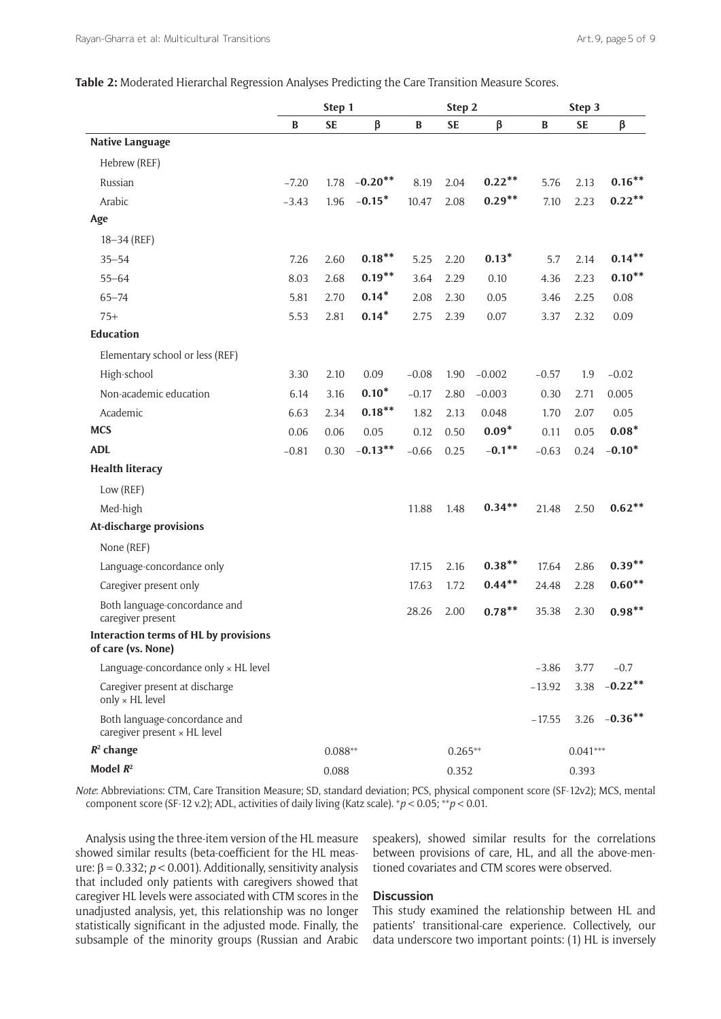**Table 2:** Moderated Hierarchal Regression Analyses Predicting the Care Transition Measure Scores.

|                                                               |              | Step 1    |            | Step 2    |           |            | Step 3       |           |                 |
|---------------------------------------------------------------|--------------|-----------|------------|-----------|-----------|------------|--------------|-----------|-----------------|
|                                                               | $\, {\bf B}$ | <b>SE</b> | β          | B         | <b>SE</b> | β          | $\, {\bf B}$ | <b>SE</b> | β               |
| <b>Native Language</b>                                        |              |           |            |           |           |            |              |           |                 |
| Hebrew (REF)                                                  |              |           |            |           |           |            |              |           |                 |
| Russian                                                       | $-7.20$      | 1.78      | $-0.20**$  | 8.19      | 2.04      | $0.22***$  | 5.76         | 2.13      | $0.16***$       |
| Arabic                                                        | $-3.43$      | 1.96      | $-0.15*$   | 10.47     | 2.08      | $0.29**$   | 7.10         | 2.23      | $0.22***$       |
| Age                                                           |              |           |            |           |           |            |              |           |                 |
| $18 - 34$ (REF)                                               |              |           |            |           |           |            |              |           |                 |
| $35 - 54$                                                     | 7.26         | 2.60      | $0.18***$  | 5.25      | 2.20      | $0.13*$    | 5.7          | 2.14      | $0.14***$       |
| $55 - 64$                                                     | 8.03         | 2.68      | $0.19***$  | 3.64      | 2.29      | 0.10       | 4.36         | 2.23      | $0.10***$       |
| $65 - 74$                                                     | 5.81         | 2.70      | $0.14*$    | 2.08      | 2.30      | 0.05       | 3.46         | 2.25      | 0.08            |
| $75+$                                                         | 5.53         | 2.81      | $0.14*$    | 2.75      | 2.39      | 0.07       | 3.37         | 2.32      | 0.09            |
| <b>Education</b>                                              |              |           |            |           |           |            |              |           |                 |
| Elementary school or less (REF)                               |              |           |            |           |           |            |              |           |                 |
| High-school                                                   | 3.30         | 2.10      | 0.09       | $-0.08$   | 1.90      | $-0.002$   | $-0.57$      | 1.9       | $-0.02$         |
| Non-academic education                                        | 6.14         | 3.16      | $0.10*$    | $-0.17$   | 2.80      | $-0.003$   | 0.30         | 2.71      | 0.005           |
| Academic                                                      | 6.63         | 2.34      | $0.18***$  | 1.82      | 2.13      | 0.048      | 1.70         | 2.07      | 0.05            |
| <b>MCS</b>                                                    | 0.06         | 0.06      | 0.05       | 0.12      | 0.50      | $0.09*$    | 0.11         | 0.05      | $0.08*$         |
| <b>ADL</b>                                                    | $-0.81$      | 0.30      | $-0.13***$ | $-0.66$   | 0.25      | $-0.1***$  | $-0.63$      | 0.24      | $-0.10*$        |
| <b>Health literacy</b>                                        |              |           |            |           |           |            |              |           |                 |
| Low (REF)                                                     |              |           |            |           |           |            |              |           |                 |
| Med-high                                                      |              |           |            | 11.88     | 1.48      | $0.34**$   | 21.48        | 2.50      | $0.62***$       |
| At-discharge provisions                                       |              |           |            |           |           |            |              |           |                 |
| None (REF)                                                    |              |           |            |           |           |            |              |           |                 |
| Language-concordance only                                     |              |           |            | 17.15     | 2.16      | $0.38***$  | 17.64        | 2.86      | $0.39**$        |
| Caregiver present only                                        |              |           |            | 17.63     | 1.72      | $0.44***$  | 24.48        | 2.28      | $0.60**$        |
| Both language-concordance and<br>caregiver present            |              |           |            | 28.26     | 2.00      | $0.78***$  | 35.38        | 2.30      | $0.98***$       |
| Interaction terms of HL by provisions<br>of care (vs. None)   |              |           |            |           |           |            |              |           |                 |
| Language-concordance only x HL level                          |              |           |            |           |           |            | $-3.86$      | 3.77      | $-0.7$          |
| Caregiver present at discharge<br>only $\times$ HL level      |              |           |            |           |           |            | $-13.92$     | 3.38      | $-0.22$ **      |
| Both language-concordance and<br>caregiver present × HL level |              |           |            |           |           |            | $-17.55$     |           | 3.26 $-0.36***$ |
| $R^2$ change                                                  |              | $0.088**$ |            | $0.265**$ |           | $0.041***$ |              |           |                 |
| Model $R^2$                                                   |              | 0.088     |            |           | 0.352     |            |              | 0.393     |                 |

*Note*: Abbreviations: CTM, Care Transition Measure; SD, standard deviation; PCS, physical component score (SF-12v2); MCS, mental component score (SF-12 v.2); ADL, activities of daily living (Katz scale). \**p* < 0.05; \*\**p* < 0.01.

Analysis using the three-item version of the HL measure showed similar results (beta-coefficient for the HL measure: β = 0.332; *p* < 0.001). Additionally, sensitivity analysis that included only patients with caregivers showed that caregiver HL levels were associated with CTM scores in the unadjusted analysis, yet, this relationship was no longer statistically significant in the adjusted mode. Finally, the subsample of the minority groups (Russian and Arabic speakers), showed similar results for the correlations between provisions of care, HL, and all the above-mentioned covariates and CTM scores were observed.

# **Discussion**

This study examined the relationship between HL and patients' transitional-care experience. Collectively, our data underscore two important points: (1) HL is inversely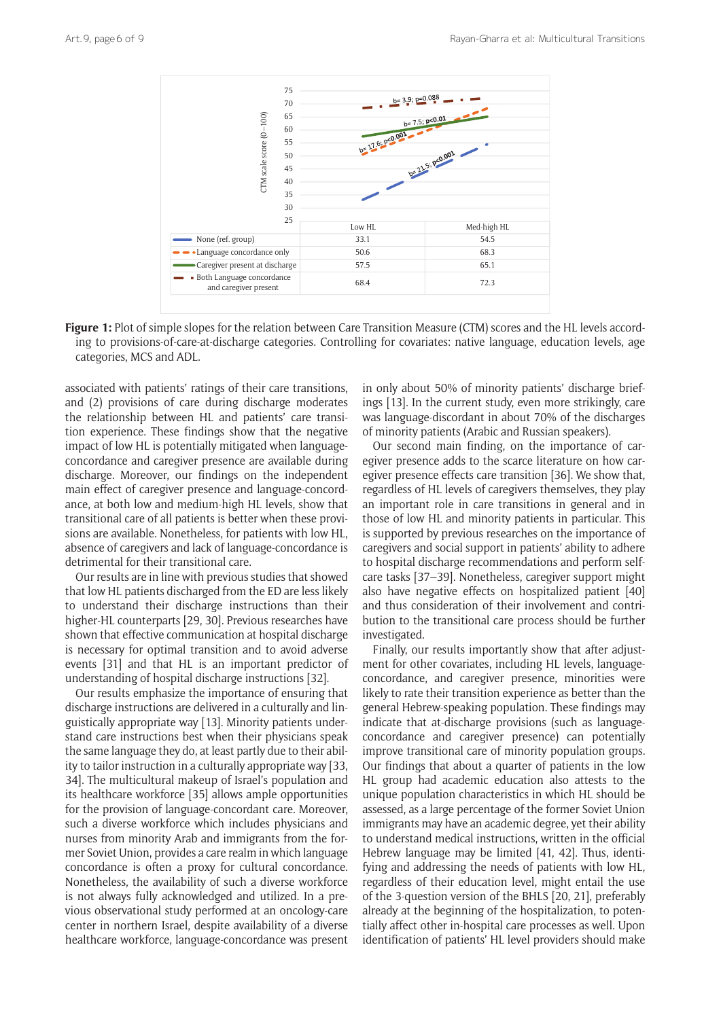

**Figure 1:** Plot of simple slopes for the relation between Care Transition Measure (CTM) scores and the HL levels according to provisions-of-care-at-discharge categories. Controlling for covariates: native language, education levels, age categories, MCS and ADL.

associated with patients' ratings of their care transitions, and (2) provisions of care during discharge moderates the relationship between HL and patients' care transition experience. These findings show that the negative impact of low HL is potentially mitigated when languageconcordance and caregiver presence are available during discharge. Moreover, our findings on the independent main effect of caregiver presence and language-concordance, at both low and medium-high HL levels, show that transitional care of all patients is better when these provisions are available. Nonetheless, for patients with low HL, absence of caregivers and lack of language-concordance is detrimental for their transitional care.

Our results are in line with previous studies that showed that low HL patients discharged from the ED are less likely to understand their discharge instructions than their higher-HL counterparts [29, 30]. Previous researches have shown that effective communication at hospital discharge is necessary for optimal transition and to avoid adverse events [31] and that HL is an important predictor of understanding of hospital discharge instructions [32].

Our results emphasize the importance of ensuring that discharge instructions are delivered in a culturally and linguistically appropriate way [13]. Minority patients understand care instructions best when their physicians speak the same language they do, at least partly due to their ability to tailor instruction in a culturally appropriate way [33, 34]. The multicultural makeup of Israel's population and its healthcare workforce [35] allows ample opportunities for the provision of language-concordant care. Moreover, such a diverse workforce which includes physicians and nurses from minority Arab and immigrants from the former Soviet Union, provides a care realm in which language concordance is often a proxy for cultural concordance. Nonetheless, the availability of such a diverse workforce is not always fully acknowledged and utilized. In a previous observational study performed at an oncology-care center in northern Israel, despite availability of a diverse healthcare workforce, language-concordance was present in only about 50% of minority patients' discharge briefings [13]. In the current study, even more strikingly, care was language-discordant in about 70% of the discharges of minority patients (Arabic and Russian speakers).

Our second main finding, on the importance of caregiver presence adds to the scarce literature on how caregiver presence effects care transition [36]. We show that, regardless of HL levels of caregivers themselves, they play an important role in care transitions in general and in those of low HL and minority patients in particular. This is supported by previous researches on the importance of caregivers and social support in patients' ability to adhere to hospital discharge recommendations and perform selfcare tasks [37–39]. Nonetheless, caregiver support might also have negative effects on hospitalized patient [40] and thus consideration of their involvement and contribution to the transitional care process should be further investigated.

Finally, our results importantly show that after adjustment for other covariates, including HL levels, languageconcordance, and caregiver presence, minorities were likely to rate their transition experience as better than the general Hebrew-speaking population. These findings may indicate that at-discharge provisions (such as languageconcordance and caregiver presence) can potentially improve transitional care of minority population groups. Our findings that about a quarter of patients in the low HL group had academic education also attests to the unique population characteristics in which HL should be assessed, as a large percentage of the former Soviet Union immigrants may have an academic degree, yet their ability to understand medical instructions, written in the official Hebrew language may be limited [41, 42]. Thus, identifying and addressing the needs of patients with low HL, regardless of their education level, might entail the use of the 3-question version of the BHLS [20, 21], preferably already at the beginning of the hospitalization, to potentially affect other in-hospital care processes as well. Upon identification of patients' HL level providers should make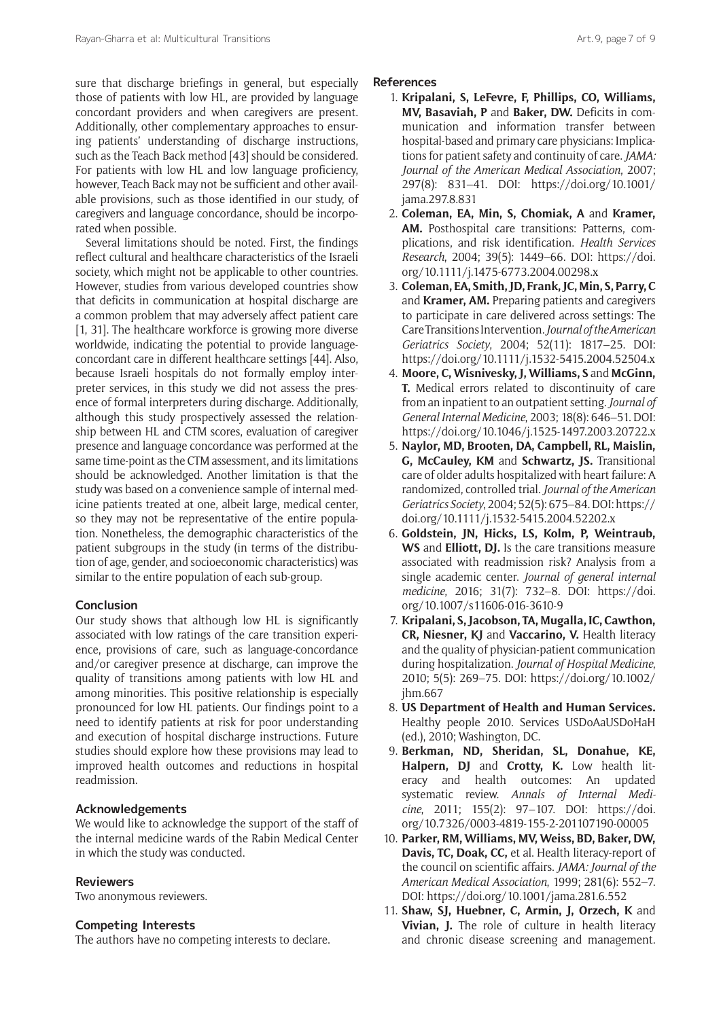sure that discharge briefings in general, but especially those of patients with low HL, are provided by language concordant providers and when caregivers are present. Additionally, other complementary approaches to ensuring patients' understanding of discharge instructions, such as the Teach Back method [43] should be considered. For patients with low HL and low language proficiency, however, Teach Back may not be sufficient and other available provisions, such as those identified in our study, of caregivers and language concordance, should be incorporated when possible.

Several limitations should be noted. First, the findings reflect cultural and healthcare characteristics of the Israeli society, which might not be applicable to other countries. However, studies from various developed countries show that deficits in communication at hospital discharge are a common problem that may adversely affect patient care [1, 31]. The healthcare workforce is growing more diverse worldwide, indicating the potential to provide languageconcordant care in different healthcare settings [44]. Also, because Israeli hospitals do not formally employ interpreter services, in this study we did not assess the presence of formal interpreters during discharge. Additionally, although this study prospectively assessed the relationship between HL and CTM scores, evaluation of caregiver presence and language concordance was performed at the same time-point as the CTM assessment, and its limitations should be acknowledged. Another limitation is that the study was based on a convenience sample of internal medicine patients treated at one, albeit large, medical center, so they may not be representative of the entire population. Nonetheless, the demographic characteristics of the patient subgroups in the study (in terms of the distribution of age, gender, and socioeconomic characteristics) was similar to the entire population of each sub-group.

# **Conclusion**

Our study shows that although low HL is significantly associated with low ratings of the care transition experience, provisions of care, such as language-concordance and/or caregiver presence at discharge, can improve the quality of transitions among patients with low HL and among minorities. This positive relationship is especially pronounced for low HL patients. Our findings point to a need to identify patients at risk for poor understanding and execution of hospital discharge instructions. Future studies should explore how these provisions may lead to improved health outcomes and reductions in hospital readmission.

## **Acknowledgements**

We would like to acknowledge the support of the staff of the internal medicine wards of the Rabin Medical Center in which the study was conducted.

#### **Reviewers**

Two anonymous reviewers.

## **Competing Interests**

The authors have no competing interests to declare.

## **References**

- 1. **Kripalani, S, LeFevre, F, Phillips, CO, Williams, MV, Basaviah, P** and **Baker, DW.** Deficits in communication and information transfer between hospital-based and primary care physicians: Implications for patient safety and continuity of care. *JAMA: Journal of the American Medical Association*, 2007; 297(8): 831–41. DOI: [https://doi.org/10.1001/](https://doi.org/10.1001/jama.297.8.831) [jama.297.8.831](https://doi.org/10.1001/jama.297.8.831)
- 2. **Coleman, EA, Min, S, Chomiak, A** and **Kramer, AM.** Posthospital care transitions: Patterns, complications, and risk identification. *Health Services Research*, 2004; 39(5): 1449–66. DOI: [https://doi.](https://doi.org/10.1111/j.1475-6773.2004.00298.x) [org/10.1111/j.1475-6773.2004.00298.x](https://doi.org/10.1111/j.1475-6773.2004.00298.x)
- 3. **Coleman, EA, Smith, JD, Frank, JC, Min, S, Parry, C** and **Kramer, AM.** Preparing patients and caregivers to participate in care delivered across settings: The Care Transitions Intervention. *Journal of the American Geriatrics Society*, 2004; 52(11): 1817–25. DOI: <https://doi.org/10.1111/j.1532-5415.2004.52504.x>
- 4. **Moore, C, Wisnivesky, J, Williams, S** and **McGinn, T.** Medical errors related to discontinuity of care from an inpatient to an outpatient setting. *Journal of General Internal Medicine*, 2003; 18(8): 646–51. DOI: <https://doi.org/10.1046/j.1525-1497.2003.20722.x>
- 5. **Naylor, MD, Brooten, DA, Campbell, RL, Maislin, G, McCauley, KM** and **Schwartz, JS.** Transitional care of older adults hospitalized with heart failure: A randomized, controlled trial. *Journal of the American Geriatrics Society*, 2004; 52(5): 675–84. DOI: [https://](https://doi.org/10.1111/j.1532-5415.2004.52202.x) [doi.org/10.1111/j.1532-5415.2004.52202.x](https://doi.org/10.1111/j.1532-5415.2004.52202.x)
- 6. **Goldstein, JN, Hicks, LS, Kolm, P, Weintraub, WS** and **Elliott, DJ.** Is the care transitions measure associated with readmission risk? Analysis from a single academic center. *Journal of general internal medicine*, 2016; 31(7): 732–8. DOI: [https://doi.](https://doi.org/10.1007/s11606-016-3610-9) [org/10.1007/s11606-016-3610-9](https://doi.org/10.1007/s11606-016-3610-9)
- 7. **Kripalani, S, Jacobson, TA, Mugalla, IC, Cawthon, CR, Niesner, KJ** and **Vaccarino, V.** Health literacy and the quality of physician-patient communication during hospitalization. *Journal of Hospital Medicine*, 2010; 5(5): 269–75. DOI: [https://doi.org/10.1002/](https://doi.org/10.1002/jhm.667) [jhm.667](https://doi.org/10.1002/jhm.667)
- 8. **US Department of Health and Human Services.** Healthy people 2010. Services USDoAaUSDoHaH (ed.), 2010; Washington, DC.
- 9. **Berkman, ND, Sheridan, SL, Donahue, KE, Halpern, DJ** and **Crotty, K.** Low health literacy and health outcomes: An updated systematic review. *Annals of Internal Medicine*, 2011; 155(2): 97–107. DOI: [https://doi.](https://doi.org/10.7326/0003-4819-155-2-201107190-00005) [org/10.7326/0003-4819-155-2-201107190-00005](https://doi.org/10.7326/0003-4819-155-2-201107190-00005)
- 10. **Parker, RM, Williams, MV, Weiss, BD, Baker, DW, Davis, TC, Doak, CC,** et al. Health literacy-report of the council on scientific affairs. *JAMA: Journal of the American Medical Association*, 1999; 281(6): 552–7. DOI: <https://doi.org/10.1001/jama.281.6.552>
- 11. **Shaw, SJ, Huebner, C, Armin, J, Orzech, K** and **Vivian, J.** The role of culture in health literacy and chronic disease screening and management.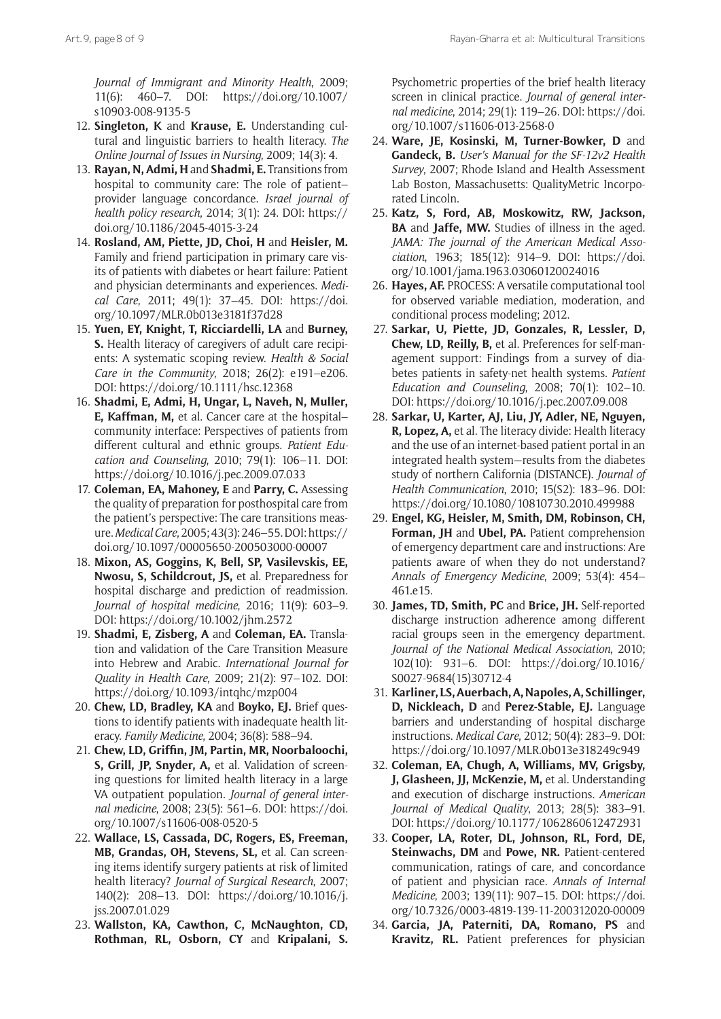*Journal of Immigrant and Minority Health*, 2009; 11(6): 460–7. DOI: [https://doi.org/10.1007/](https://doi.org/10.1007/s10903-008-9135-5) [s10903-008-9135-5](https://doi.org/10.1007/s10903-008-9135-5)

- 12. **Singleton, K** and **Krause, E.** Understanding cultural and linguistic barriers to health literacy. *The Online Journal of Issues in Nursing*, 2009; 14(3): 4.
- 13. **Rayan, N, Admi, H** and **Shadmi, E.** Transitions from hospital to community care: The role of patient– provider language concordance. *Israel journal of health policy research*, 2014; 3(1): 24. DOI: [https://](https://doi.org/10.1186/2045-4015-3-24) [doi.org/10.1186/2045-4015-3-24](https://doi.org/10.1186/2045-4015-3-24)
- 14. **Rosland, AM, Piette, JD, Choi, H** and **Heisler, M.** Family and friend participation in primary care visits of patients with diabetes or heart failure: Patient and physician determinants and experiences. *Medical Care*, 2011; 49(1): 37–45. DOI: [https://doi.](https://doi.org/10.1097/MLR.0b013e3181f37d28) [org/10.1097/MLR.0b013e3181f37d28](https://doi.org/10.1097/MLR.0b013e3181f37d28)
- 15. **Yuen, EY, Knight, T, Ricciardelli, LA** and **Burney, S.** Health literacy of caregivers of adult care recipients: A systematic scoping review. *Health & Social Care in the Community*, 2018; 26(2): e191–e206. DOI: <https://doi.org/10.1111/hsc.12368>
- 16. **Shadmi, E, Admi, H, Ungar, L, Naveh, N, Muller, E, Kaffman, M,** et al. Cancer care at the hospital– community interface: Perspectives of patients from different cultural and ethnic groups. *Patient Education and Counseling*, 2010; 79(1): 106–11. DOI: <https://doi.org/10.1016/j.pec.2009.07.033>
- 17. **Coleman, EA, Mahoney, E** and **Parry, C.** Assessing the quality of preparation for posthospital care from the patient's perspective: The care transitions measure. *Medical Care*, 2005; 43(3): 246–55. DOI: [https://](https://doi.org/10.1097/00005650-200503000-00007) [doi.org/10.1097/00005650-200503000-00007](https://doi.org/10.1097/00005650-200503000-00007)
- 18. **Mixon, AS, Goggins, K, Bell, SP, Vasilevskis, EE, Nwosu, S, Schildcrout, JS,** et al. Preparedness for hospital discharge and prediction of readmission. *Journal of hospital medicine*, 2016; 11(9): 603–9. DOI: <https://doi.org/10.1002/jhm.2572>
- 19. **Shadmi, E, Zisberg, A** and **Coleman, EA.** Translation and validation of the Care Transition Measure into Hebrew and Arabic. *International Journal for Quality in Health Care*, 2009; 21(2): 97–102. DOI: <https://doi.org/10.1093/intqhc/mzp004>
- 20. **Chew, LD, Bradley, KA** and **Boyko, EJ.** Brief questions to identify patients with inadequate health literacy. *Family Medicine*, 2004; 36(8): 588–94.
- 21. **Chew, LD, Griffin, JM, Partin, MR, Noorbaloochi, S, Grill, JP, Snyder, A,** et al. Validation of screening questions for limited health literacy in a large VA outpatient population. *Journal of general internal medicine*, 2008; 23(5): 561–6. DOI: [https://doi.](https://doi.org/10.1007/s11606-008-0520-5) [org/10.1007/s11606-008-0520-5](https://doi.org/10.1007/s11606-008-0520-5)
- 22. **Wallace, LS, Cassada, DC, Rogers, ES, Freeman, MB, Grandas, OH, Stevens, SL,** et al. Can screening items identify surgery patients at risk of limited health literacy? *Journal of Surgical Research*, 2007; 140(2): 208–13. DOI: [https://doi.org/10.1016/j.](https://doi.org/10.1016/j.jss.2007.01.029) [jss.2007.01.029](https://doi.org/10.1016/j.jss.2007.01.029)
- 23. **Wallston, KA, Cawthon, C, McNaughton, CD, Rothman, RL, Osborn, CY** and **Kripalani, S.**

Psychometric properties of the brief health literacy screen in clinical practice. *Journal of general internal medicine*, 2014; 29(1): 119–26. DOI: [https://doi.](https://doi.org/10.1007/s11606-013-2568-0) [org/10.1007/s11606-013-2568-0](https://doi.org/10.1007/s11606-013-2568-0)

- 24. **Ware, JE, Kosinski, M, Turner-Bowker, D** and **Gandeck, B.** *User's Manual for the SF-12v2 Health Survey*, 2007; Rhode Island and Health Assessment Lab Boston, Massachusetts: QualityMetric Incorporated Lincoln.
- 25. **Katz, S, Ford, AB, Moskowitz, RW, Jackson, BA** and **Jaffe, MW.** Studies of illness in the aged. *JAMA: The journal of the American Medical Association*, 1963; 185(12): 914–9. DOI: [https://doi.](https://doi.org/10.1001/jama.1963.03060120024016) [org/10.1001/jama.1963.03060120024016](https://doi.org/10.1001/jama.1963.03060120024016)
- 26. **Hayes, AF.** PROCESS: A versatile computational tool for observed variable mediation, moderation, and conditional process modeling; 2012.
- 27. **Sarkar, U, Piette, JD, Gonzales, R, Lessler, D, Chew, LD, Reilly, B,** et al. Preferences for self-management support: Findings from a survey of diabetes patients in safety-net health systems. *Patient Education and Counseling*, 2008; 70(1): 102–10. DOI:<https://doi.org/10.1016/j.pec.2007.09.008>
- 28. **Sarkar, U, Karter, AJ, Liu, JY, Adler, NE, Nguyen, R, Lopez, A,** et al. The literacy divide: Health literacy and the use of an internet-based patient portal in an integrated health system—results from the diabetes study of northern California (DISTANCE). *Journal of Health Communication*, 2010; 15(S2): 183–96. DOI: <https://doi.org/10.1080/10810730.2010.499988>
- 29. **Engel, KG, Heisler, M, Smith, DM, Robinson, CH, Forman, JH** and **Ubel, PA.** Patient comprehension of emergency department care and instructions: Are patients aware of when they do not understand? *Annals of Emergency Medicine*, 2009; 53(4): 454– 461.e15.
- 30. **James, TD, Smith, PC** and **Brice, JH.** Self-reported discharge instruction adherence among different racial groups seen in the emergency department. *Journal of the National Medical Association*, 2010; 102(10): 931–6. DOI: [https://doi.org/10.1016/](https://doi.org/10.1016/S0027-9684(15)30712-4) [S0027-9684\(15\)30712-4](https://doi.org/10.1016/S0027-9684(15)30712-4)
- 31. **Karliner, LS, Auerbach, A, Napoles, A, Schillinger, D, Nickleach, D** and **Perez-Stable, EJ.** Language barriers and understanding of hospital discharge instructions. *Medical Care*, 2012; 50(4): 283–9. DOI: <https://doi.org/10.1097/MLR.0b013e318249c949>
- 32. **Coleman, EA, Chugh, A, Williams, MV, Grigsby, J, Glasheen, JJ, McKenzie, M,** et al. Understanding and execution of discharge instructions. *American Journal of Medical Quality*, 2013; 28(5): 383–91. DOI:<https://doi.org/10.1177/1062860612472931>
- 33. **Cooper, LA, Roter, DL, Johnson, RL, Ford, DE, Steinwachs, DM** and **Powe, NR.** Patient-centered communication, ratings of care, and concordance of patient and physician race. *Annals of Internal Medicine*, 2003; 139(11): 907–15. DOI: [https://doi.](https://doi.org/10.7326/0003-4819-139-11-200312020-00009) [org/10.7326/0003-4819-139-11-200312020-00009](https://doi.org/10.7326/0003-4819-139-11-200312020-00009)
- 34. **Garcia, JA, Paterniti, DA, Romano, PS** and **Kravitz, RL.** Patient preferences for physician